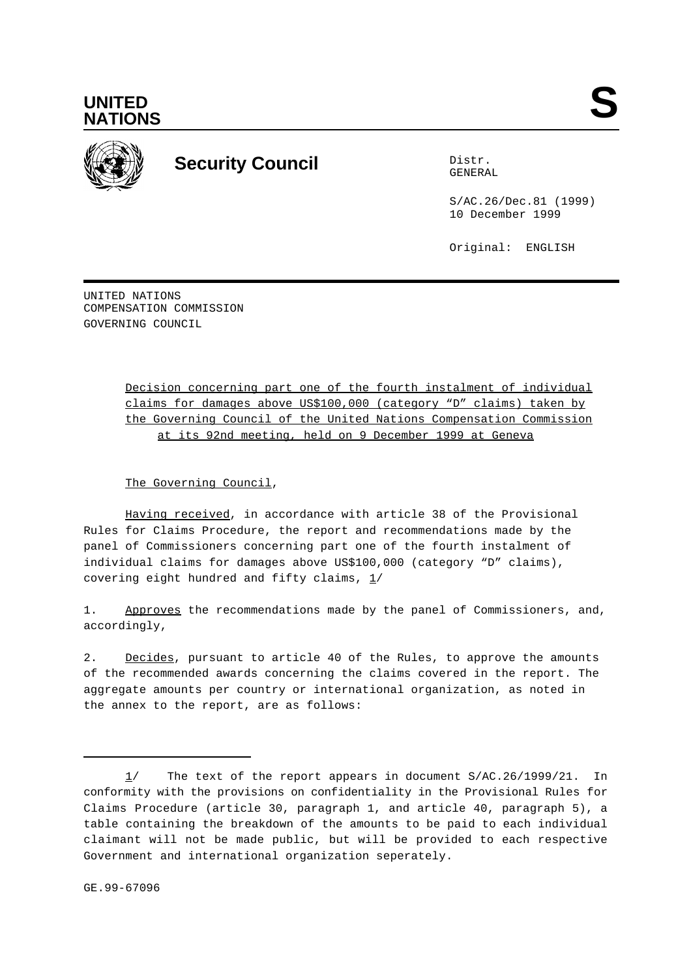

## **Security Council** Distribution of the Distribution of the Distribution of the Distribution of the Distribution of the Distribution of the Distribution of the Distribution of the Distribution of the Distribution of the Dis

GENERAL

S/AC.26/Dec.81 (1999) 10 December 1999

Original: ENGLISH

UNITED NATIONS COMPENSATION COMMISSION GOVERNING COUNCIL

> Decision concerning part one of the fourth instalment of individual claims for damages above US\$100,000 (category "D" claims) taken by the Governing Council of the United Nations Compensation Commission at its 92nd meeting, held on 9 December 1999 at Geneva

The Governing Council,

Having received, in accordance with article 38 of the Provisional Rules for Claims Procedure, the report and recommendations made by the panel of Commissioners concerning part one of the fourth instalment of individual claims for damages above US\$100,000 (category "D" claims), covering eight hundred and fifty claims,  $1/$ 

1. Approves the recommendations made by the panel of Commissioners, and, accordingly,

2. Decides, pursuant to article 40 of the Rules, to approve the amounts of the recommended awards concerning the claims covered in the report. The aggregate amounts per country or international organization, as noted in the annex to the report, are as follows:

<sup>1/</sup> The text of the report appears in document S/AC.26/1999/21. In conformity with the provisions on confidentiality in the Provisional Rules for Claims Procedure (article 30, paragraph 1, and article 40, paragraph 5), a table containing the breakdown of the amounts to be paid to each individual claimant will not be made public, but will be provided to each respective Government and international organization seperately.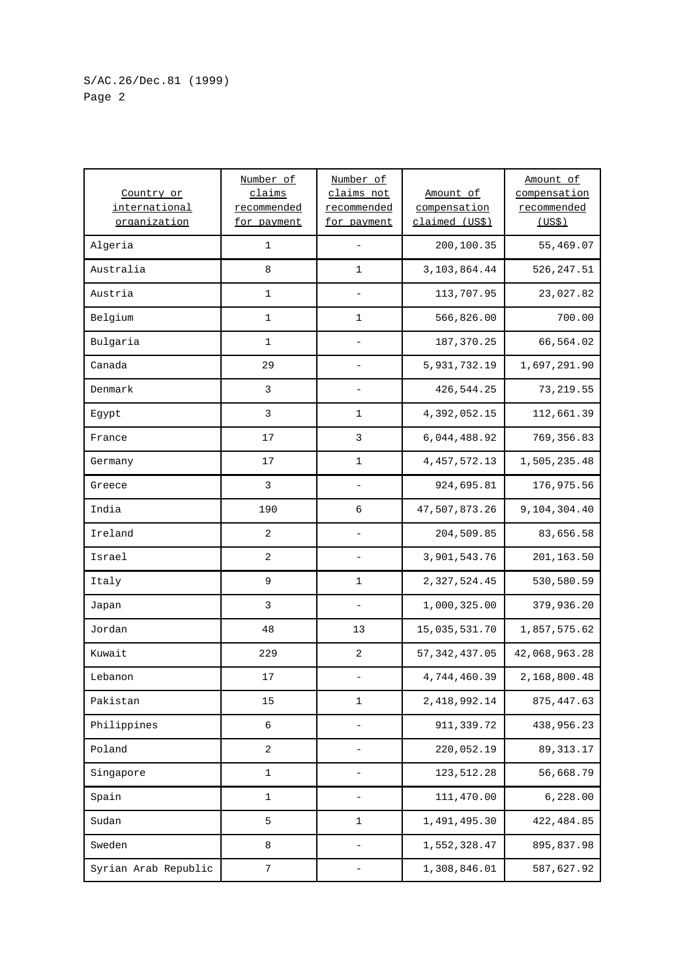| Country or<br>international<br>organization | Number of<br>claims<br>recommended<br>for payment | Number of<br>claims not<br>recommended<br>for payment | Amount of<br>compensation<br>claimed (US\$) | Amount of<br>compensation<br>recommended<br>(USS) |
|---------------------------------------------|---------------------------------------------------|-------------------------------------------------------|---------------------------------------------|---------------------------------------------------|
| Algeria                                     | 1                                                 |                                                       | 200,100.35                                  | 55,469.07                                         |
| Australia                                   | 8                                                 | 1                                                     | 3, 103, 864.44                              | 526, 247.51                                       |
| Austria                                     | $\mathbf 1$                                       |                                                       | 113,707.95                                  | 23,027.82                                         |
| Belgium                                     | $\mathbf{1}$                                      | 1                                                     | 566,826.00                                  | 700.00                                            |
| Bulgaria                                    | $\mathbf 1$                                       |                                                       | 187, 370.25                                 | 66,564.02                                         |
| Canada                                      | 29                                                |                                                       | 5,931,732.19                                | 1,697,291.90                                      |
| Denmark                                     | 3                                                 |                                                       | 426,544.25                                  | 73, 219.55                                        |
| Egypt                                       | 3                                                 | 1                                                     | 4,392,052.15                                | 112,661.39                                        |
| France                                      | 17                                                | 3                                                     | 6,044,488.92                                | 769, 356.83                                       |
| Germany                                     | 17                                                | 1                                                     | 4, 457, 572.13                              | 1,505,235.48                                      |
| Greece                                      | 3                                                 |                                                       | 924,695.81                                  | 176,975.56                                        |
| India                                       | 190                                               | 6                                                     | 47,507,873.26                               | 9,104,304.40                                      |
| Ireland                                     | 2                                                 |                                                       | 204,509.85                                  | 83,656.58                                         |
| Israel                                      | $\overline{2}$                                    | $\qquad \qquad -$                                     | 3,901,543.76                                | 201,163.50                                        |
| Italy                                       | $\mathsf 9$                                       | 1                                                     | 2,327,524.45                                | 530,580.59                                        |
| Japan                                       | 3                                                 |                                                       | 1,000,325.00                                | 379,936.20                                        |
| Jordan                                      | 48                                                | 13                                                    | 15,035,531.70                               | 1,857,575.62                                      |
| Kuwait                                      | 229                                               | 2                                                     | 57, 342, 437.05                             | 42,068,963.28                                     |
| Lebanon                                     | 17                                                |                                                       | 4,744,460.39                                | 2,168,800.48                                      |
| Pakistan                                    | 15                                                | $\mathbf 1$                                           | 2,418,992.14                                | 875, 447.63                                       |
| Philippines                                 | 6                                                 |                                                       | 911,339.72                                  | 438,956.23                                        |
| Poland                                      | 2                                                 | $\overline{\phantom{0}}$                              | 220,052.19                                  | 89, 313. 17                                       |
| Singapore                                   | 1                                                 |                                                       | 123,512.28                                  | 56,668.79                                         |
| Spain                                       | 1                                                 | $\qquad \qquad -$                                     | 111,470.00                                  | 6,228.00                                          |
| Sudan                                       | 5                                                 | 1                                                     | 1,491,495.30                                | 422, 484.85                                       |
| Sweden                                      | 8                                                 | $\qquad \qquad -$                                     | 1,552,328.47                                | 895,837.98                                        |
| Syrian Arab Republic                        | $7\phantom{.0}$                                   | $\qquad \qquad -$                                     | 1,308,846.01                                | 587,627.92                                        |